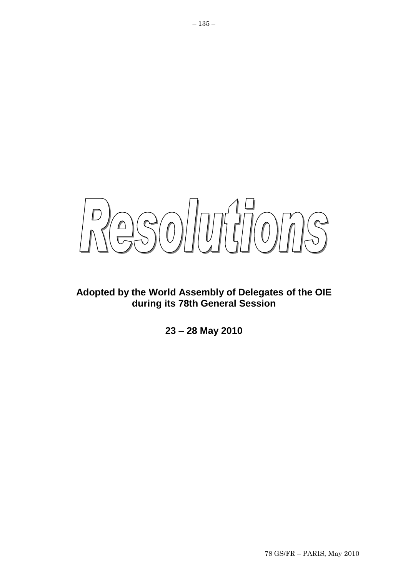$80/0777078$  $\bigcap$ 

# **Adopted by the World Assembly of Delegates of the OIE during its 78th General Session**

**23 – 28 May 2010**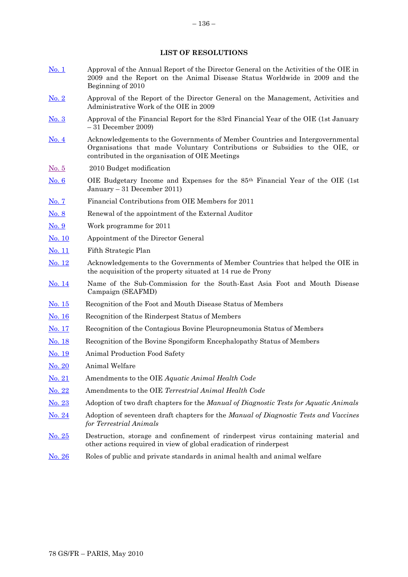## **LIST OF RESOLUTIONS**

- [No. 1](#page-2-0) Approval of the Annual Report of the Director General on the Activities of the OIE in 2009 and the Report on the Animal Disease Status Worldwide in 2009 and the Beginning of 2010
- [No. 2](#page-3-0) Approval of the Report of the Director General on the Management, Activities and Administrative Work of the OIE in 2009
- [No. 3](#page-4-0) Approval of the Financial Report for the 83rd Financial Year of the OIE (1st January – 31 December 2009)
- [No. 4](#page-5-0) Acknowledgements to the Governments of Member Countries and Intergovernmental Organisations that made Voluntary Contributions or Subsidies to the OIE, or contributed in the organisation of OIE Meetings
- [No. 5](#page-6-0) 2010 Budget modification
- [No. 6](#page-8-0) OIE Budgetary Income and Expenses for the 85th Financial Year of the OIE (1st January – 31 December 2011)
- [No. 7](#page-9-0) Financial Contributions from OIE Members for 2011
- [No. 8](#page-10-0) Renewal of the appointment of the External Auditor
- [No. 9](#page-25-0) Work programme for 2011
- [No. 10](#page-12-0) Appointment of the Director General
- [No. 11](#page-13-0) Fifth Strategic Plan
- [No. 12](#page-14-0) Acknowledgements to the Governments of Member Countries that helped the OIE in the acquisition of the property situated at 14 rue de Prony
- [No. 14](#page-15-0) Name of the Sub-Commission for the South-East Asia Foot and Mouth Disease Campaign (SEAFMD)
- [No. 15](#page-16-0) Recognition of the Foot and Mouth Disease Status of Members
- [No. 16](#page-19-0) Recognition of the Rinderpest Status of Members
- [No. 17](#page-22-0) Recognition of the Contagious Bovine Pleuropneumonia Status of Members
- [No. 18](#page-23-0) Recognition of the Bovine Spongiform Encephalopathy Status of Members
- [No. 19](#page-25-0) Animal Production Food Safety
- [No. 20](#page-26-0) Animal Welfare
- [No. 21](#page-28-0) Amendments to the OIE *Aquatic Animal Health Code*
- [No. 22](#page-29-0) Amendments to the OIE *Terrestrial Animal Health Code*
- [No. 23](#page-33-0) Adoption of two draft chapters for the *Manual of Diagnostic Tests for Aquatic Animals*
- [No. 24](#page-34-0) Adoption of seventeen draft chapters for the *Manual of Diagnostic Tests and Vaccines for Terrestrial Animals*
- [No. 25](#page-35-0) Destruction, storage and confinement of rinderpest virus containing material and other actions required in view of global eradication of rinderpest
- [No. 26](#page-37-0) Roles of public and private standards in animal health and animal welfare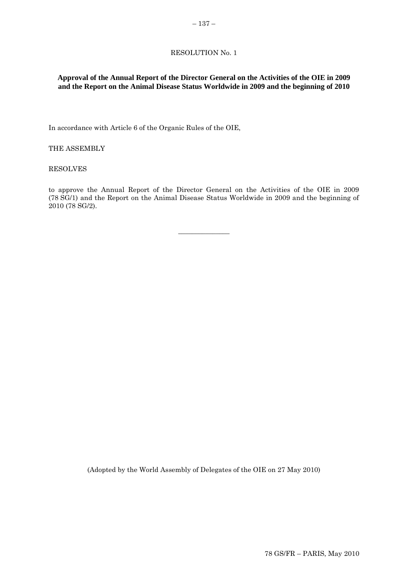# <span id="page-2-0"></span>**Approval of the Annual Report of the Director General on the Activities of the OIE in 2009 and the Report on the Animal Disease Status Worldwide in 2009 and the beginning of 2010**

In accordance with Article 6 of the Organic Rules of the OIE,

THE ASSEMBLY

RESOLVES

to approve the Annual Report of the Director General on the Activities of the OIE in 2009 (78 SG/1) and the Report on the Animal Disease Status Worldwide in 2009 and the beginning of 2010 (78 SG/2).

 $\overline{\phantom{a}}$  , where  $\overline{\phantom{a}}$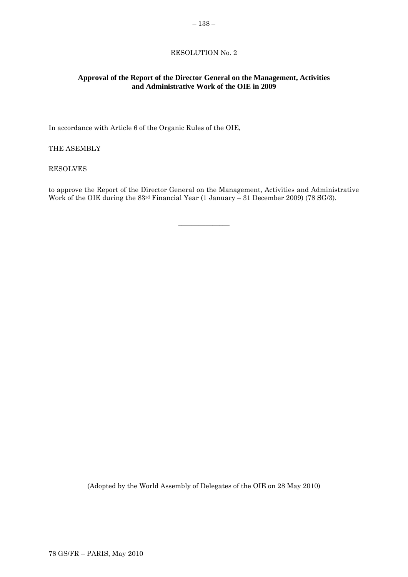# <span id="page-3-0"></span>**Approval of the Report of the Director General on the Management, Activities and Administrative Work of the OIE in 2009**

In accordance with Article 6 of the Organic Rules of the OIE,

THE ASEMBLY

RESOLVES

to approve the Report of the Director General on the Management, Activities and Administrative Work of the OIE during the 83rd Financial Year (1 January – 31 December 2009) (78 SG/3).

 $\overline{\phantom{a}}$  , where  $\overline{\phantom{a}}$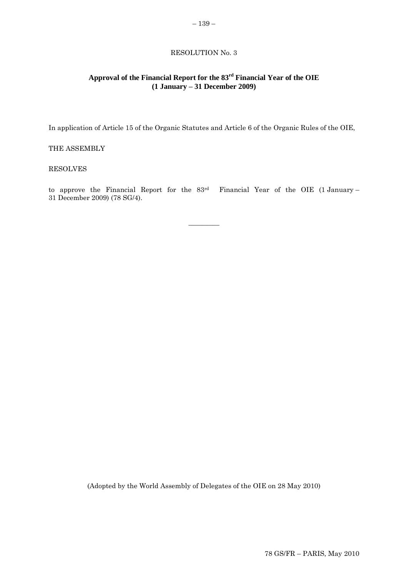# <span id="page-4-0"></span>**Approval of the Financial Report for the 83rd Financial Year of the OIE (1 January – 31 December 2009)**

In application of Article 15 of the Organic Statutes and Article 6 of the Organic Rules of the OIE,

## THE ASSEMBLY

## RESOLVES

to approve the Financial Report for the 83rd Financial Year of the OIE (1 January – 31 December 2009) (78 SG/4).

 $\overline{\phantom{a}}$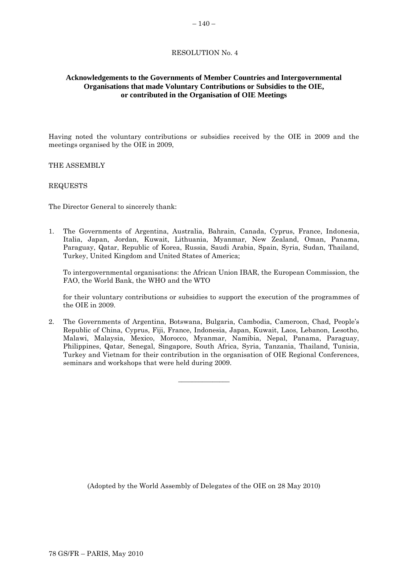# <span id="page-5-0"></span>**Acknowledgements to the Governments of Member Countries and Intergovernmental Organisations that made Voluntary Contributions or Subsidies to the OIE, or contributed in the Organisation of OIE Meetings**

Having noted the voluntary contributions or subsidies received by the OIE in 2009 and the meetings organised by the OIE in 2009,

THE ASSEMBLY

## REQUESTS

The Director General to sincerely thank:

1. The Governments of Argentina, Australia, Bahrain, Canada, Cyprus, France, Indonesia, Italia, Japan, Jordan, Kuwait, Lithuania, Myanmar, New Zealand, Oman, Panama, Paraguay, Qatar, Republic of Korea, Russia, Saudi Arabia, Spain, Syria, Sudan, Thailand, Turkey, United Kingdom and United States of America;

To intergovernmental organisations: the African Union IBAR, the European Commission, the FAO, the World Bank, the WHO and the WTO

for their voluntary contributions or subsidies to support the execution of the programmes of the OIE in 2009.

2. The Governments of Argentina, Botswana, Bulgaria, Cambodia, Cameroon, Chad, People"s Republic of China, Cyprus, Fiji, France, Indonesia, Japan, Kuwait, Laos, Lebanon, Lesotho, Malawi, Malaysia, Mexico, Morocco, Myanmar, Namibia, Nepal, Panama, Paraguay, Philippines, Qatar, Senegal, Singapore, South Africa, Syria, Tanzania, Thailand, Tunisia, Turkey and Vietnam for their contribution in the organisation of OIE Regional Conferences, seminars and workshops that were held during 2009.

\_\_\_\_\_\_\_\_\_\_\_\_\_\_\_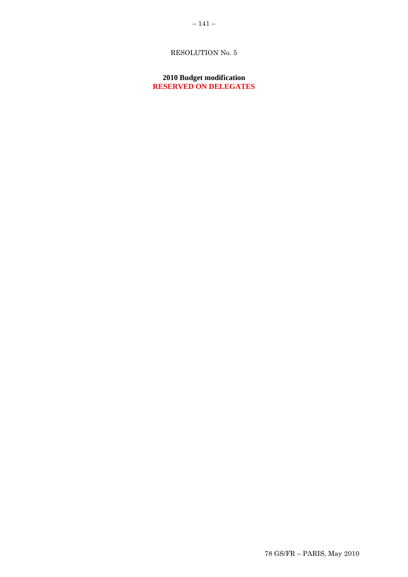# <span id="page-6-0"></span>**2010 Budget modification RESERVED ON DELEGATES**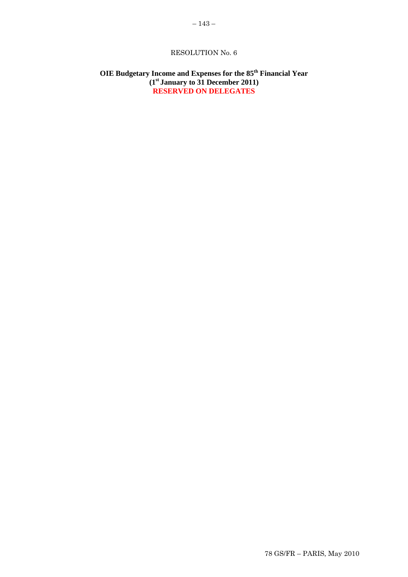# <span id="page-8-0"></span>**OIE Budgetary Income and Expenses for the 85th Financial Year (1st January to 31 December 2011) RESERVED ON DELEGATES**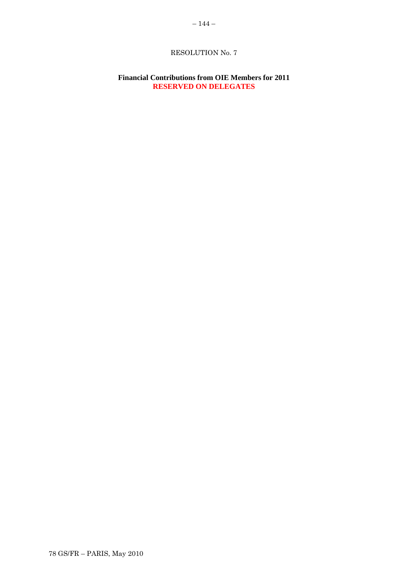# <span id="page-9-0"></span>**Financial Contributions from OIE Members for 2011 RESERVED ON DELEGATES**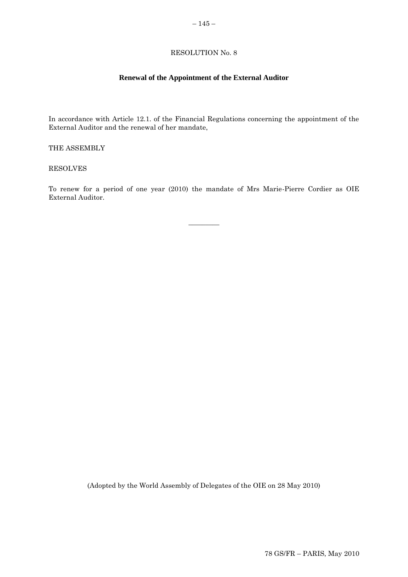# **Renewal of the Appointment of the External Auditor**

<span id="page-10-0"></span>In accordance with Article 12.1. of the Financial Regulations concerning the appointment of the External Auditor and the renewal of her mandate,

THE ASSEMBLY

RESOLVES

To renew for a period of one year (2010) the mandate of Mrs Marie-Pierre Cordier as OIE External Auditor.

 $\overline{\phantom{a}}$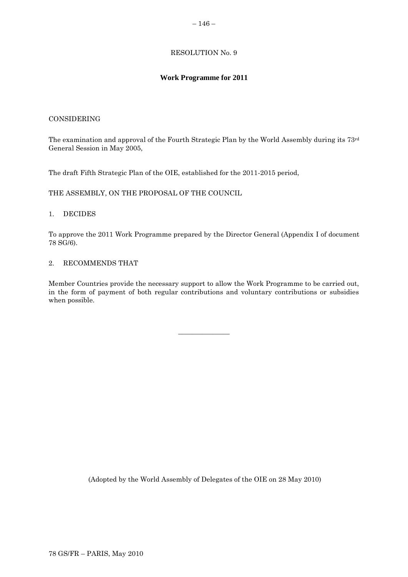# – 146 –

## RESOLUTION No. 9

# **Work Programme for 2011**

## CONSIDERING

The examination and approval of the Fourth Strategic Plan by the World Assembly during its 73rd General Session in May 2005,

The draft Fifth Strategic Plan of the OIE, established for the 2011-2015 period,

THE ASSEMBLY, ON THE PROPOSAL OF THE COUNCIL

#### 1. DECIDES

To approve the 2011 Work Programme prepared by the Director General (Appendix I of document 78 SG/6).

## 2. RECOMMENDS THAT

Member Countries provide the necessary support to allow the Work Programme to be carried out, in the form of payment of both regular contributions and voluntary contributions or subsidies when possible.

 $\overline{\phantom{a}}$  , where  $\overline{\phantom{a}}$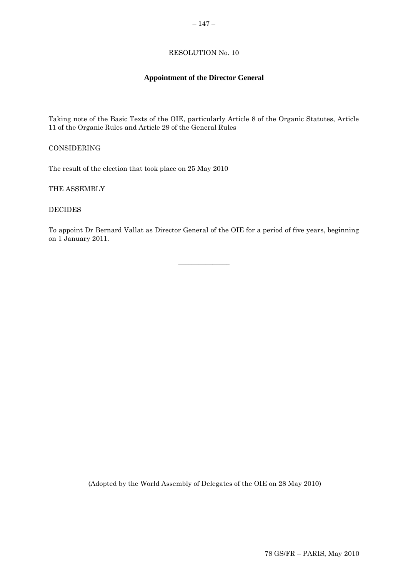# $-147-$

# RESOLUTION No. 10

# **Appointment of the Director General**

<span id="page-12-0"></span>Taking note of the Basic Texts of the OIE, particularly Article 8 of the Organic Statutes, Article 11 of the Organic Rules and Article 29 of the General Rules

CONSIDERING

The result of the election that took place on 25 May 2010

THE ASSEMBLY

DECIDES

To appoint Dr Bernard Vallat as Director General of the OIE for a period of five years, beginning on 1 January 2011.

 $\overline{\phantom{a}}$  , where  $\overline{\phantom{a}}$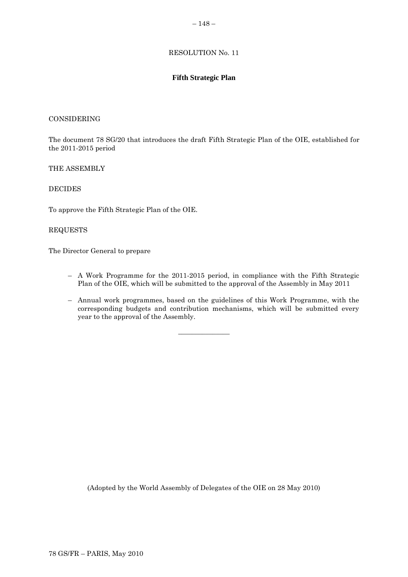#### – 148 –

## RESOLUTION No. 11

# **Fifth Strategic Plan**

#### <span id="page-13-0"></span>CONSIDERING

The document 78 SG/20 that introduces the draft Fifth Strategic Plan of the OIE, established for the 2011-2015 period

## THE ASSEMBLY

## DECIDES

To approve the Fifth Strategic Plan of the OIE.

## REQUESTS

The Director General to prepare

- A Work Programme for the 2011-2015 period, in compliance with the Fifth Strategic Plan of the OIE, which will be submitted to the approval of the Assembly in May 2011
- Annual work programmes, based on the guidelines of this Work Programme, with the corresponding budgets and contribution mechanisms, which will be submitted every year to the approval of the Assembly.

 $\overline{\phantom{a}}$  , where  $\overline{\phantom{a}}$  , where  $\overline{\phantom{a}}$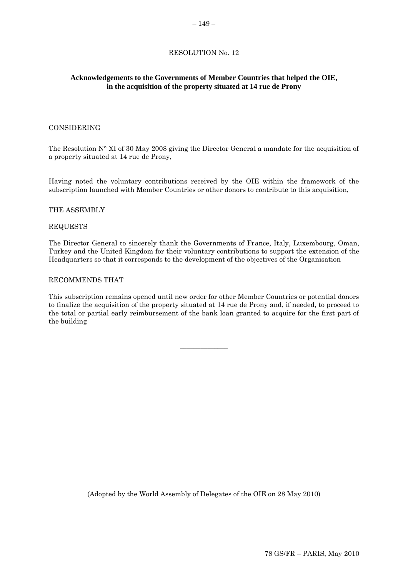# <span id="page-14-0"></span>**Acknowledgements to the Governments of Member Countries that helped the OIE, in the acquisition of the property situated at 14 rue de Prony**

## CONSIDERING

The Resolution N° XI of 30 May 2008 giving the Director General a mandate for the acquisition of a property situated at 14 rue de Prony,

Having noted the voluntary contributions received by the OIE within the framework of the subscription launched with Member Countries or other donors to contribute to this acquisition,

#### THE ASSEMBLY

#### REQUESTS

The Director General to sincerely thank the Governments of France, Italy, Luxembourg, Oman, Turkey and the United Kingdom for their voluntary contributions to support the extension of the Headquarters so that it corresponds to the development of the objectives of the Organisation

#### RECOMMENDS THAT

This subscription remains opened until new order for other Member Countries or potential donors to finalize the acquisition of the property situated at 14 rue de Prony and, if needed, to proceed to the total or partial early reimbursement of the bank loan granted to acquire for the first part of the building

\_\_\_\_\_\_\_\_\_\_\_\_\_\_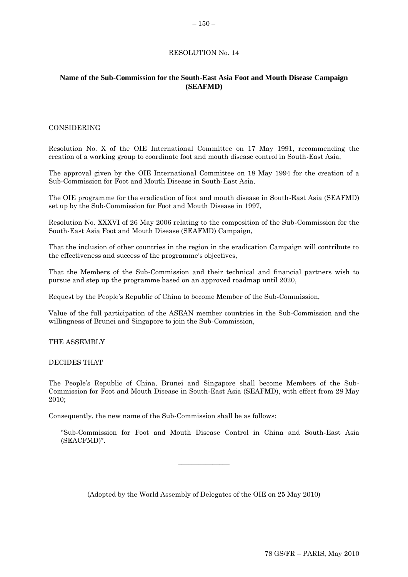# <span id="page-15-0"></span>**Name of the Sub-Commission for the South-East Asia Foot and Mouth Disease Campaign (SEAFMD)**

#### CONSIDERING

Resolution No. X of the OIE International Committee on 17 May 1991, recommending the creation of a working group to coordinate foot and mouth disease control in South-East Asia,

The approval given by the OIE International Committee on 18 May 1994 for the creation of a Sub-Commission for Foot and Mouth Disease in South-East Asia,

The OIE programme for the eradication of foot and mouth disease in South-East Asia (SEAFMD) set up by the Sub-Commission for Foot and Mouth Disease in 1997,

Resolution No. XXXVI of 26 May 2006 relating to the composition of the Sub-Commission for the South-East Asia Foot and Mouth Disease (SEAFMD) Campaign,

That the inclusion of other countries in the region in the eradication Campaign will contribute to the effectiveness and success of the programme's objectives,

That the Members of the Sub-Commission and their technical and financial partners wish to pursue and step up the programme based on an approved roadmap until 2020,

Request by the People"s Republic of China to become Member of the Sub-Commission,

Value of the full participation of the ASEAN member countries in the Sub-Commission and the willingness of Brunei and Singapore to join the Sub-Commission,

THE ASSEMBLY

#### DECIDES THAT

The People"s Republic of China, Brunei and Singapore shall become Members of the Sub-Commission for Foot and Mouth Disease in South-East Asia (SEAFMD), with effect from 28 May 2010;

Consequently, the new name of the Sub-Commission shall be as follows:

"Sub-Commission for Foot and Mouth Disease Control in China and South-East Asia (SEACFMD)".

(Adopted by the World Assembly of Delegates of the OIE on 25 May 2010)

 $\overline{\phantom{a}}$  , where  $\overline{\phantom{a}}$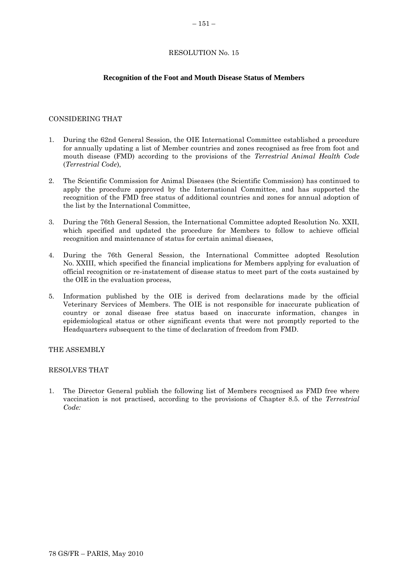## <span id="page-16-0"></span>**Recognition of the Foot and Mouth Disease Status of Members**

#### CONSIDERING THAT

- 1. During the 62nd General Session, the OIE International Committee established a procedure for annually updating a list of Member countries and zones recognised as free from foot and mouth disease (FMD) according to the provisions of the *Terrestrial Animal Health Code*  (*Terrestrial Code*),
- 2. The Scientific Commission for Animal Diseases (the Scientific Commission) has continued to apply the procedure approved by the International Committee, and has supported the recognition of the FMD free status of additional countries and zones for annual adoption of the list by the International Committee,
- 3. During the 76th General Session, the International Committee adopted Resolution No. XXII, which specified and updated the procedure for Members to follow to achieve official recognition and maintenance of status for certain animal diseases,
- 4. During the 76th General Session, the International Committee adopted Resolution No. XXIII, which specified the financial implications for Members applying for evaluation of official recognition or re-instatement of disease status to meet part of the costs sustained by the OIE in the evaluation process,
- 5. Information published by the OIE is derived from declarations made by the official Veterinary Services of Members. The OIE is not responsible for inaccurate publication of country or zonal disease free status based on inaccurate information, changes in epidemiological status or other significant events that were not promptly reported to the Headquarters subsequent to the time of declaration of freedom from FMD.

THE ASSEMBLY

#### RESOLVES THAT

1. The Director General publish the following list of Members recognised as FMD free where vaccination is not practised, according to the provisions of Chapter 8.5. of the *Terrestrial Code:*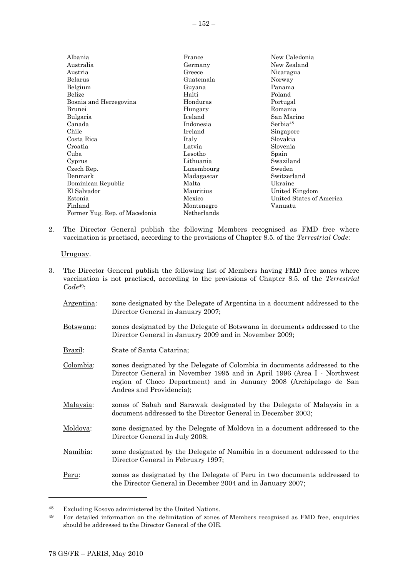| Albania                       | France      | New Caledonia            |
|-------------------------------|-------------|--------------------------|
| Australia                     | Germany     | New Zealand              |
| Austria                       | Greece      | Nicaragua                |
| Belarus                       | Guatemala   | Norway                   |
| Belgium                       | Guyana      | Panama                   |
| Belize                        | Haiti       | Poland                   |
| Bosnia and Herzegovina        | Honduras    | Portugal                 |
| Brunei                        | Hungary     | Romania                  |
| Bulgaria                      | Iceland     | San Marino               |
| Canada                        | Indonesia   | Serbia <sup>48</sup>     |
| Chile                         | Ireland     | Singapore                |
| Costa Rica                    | Italy       | Slovakia                 |
| Croatia                       | Latvia      | Slovenia                 |
| Cuba                          | Lesotho     | Spain                    |
| Cyprus                        | Lithuania   | Swaziland                |
| Czech Rep.                    | Luxembourg  | Sweden                   |
| Denmark                       | Madagascar  | Switzerland              |
| Dominican Republic            | Malta       | Ukraine                  |
| El Salvador                   | Mauritius   | United Kingdom           |
| Estonia                       | Mexico      | United States of America |
| Finland                       | Montenegro  | Vanuatu                  |
| Former Yug. Rep. of Macedonia | Netherlands |                          |

2. The Director General publish the following Members recognised as FMD free where vaccination is practised, according to the provisions of Chapter 8.5. of the *Terrestrial Code*:

Uruguay.

- 3. The Director General publish the following list of Members having FMD free zones where vaccination is not practised, according to the provisions of Chapter 8.5. of the *Terrestrial Code*49:
	- Argentina: zone designated by the Delegate of Argentina in a document addressed to the Director General in January 2007;
	- Botswana: zones designated by the Delegate of Botswana in documents addressed to the Director General in January 2009 and in November 2009;
	- Brazil: State of Santa Catarina;
	- Colombia: zones designated by the Delegate of Colombia in documents addressed to the Director General in November 1995 and in April 1996 (Area I - Northwest region of Choco Department) and in January 2008 (Archipelago de San Andres and Providencia);
	- Malaysia: zones of Sabah and Sarawak designated by the Delegate of Malaysia in a document addressed to the Director General in December 2003;
	- Moldova: zone designated by the Delegate of Moldova in a document addressed to the Director General in July 2008;
	- Namibia: zone designated by the Delegate of Namibia in a document addressed to the Director General in February 1997;
	- Peru: zones as designated by the Delegate of Peru in two documents addressed to the Director General in December 2004 and in January 2007;

l

<sup>48</sup> Excluding Kosovo administered by the United Nations.

<sup>49</sup> For detailed information on the delimitation of zones of Members recognised as FMD free, enquiries should be addressed to the Director General of the OIE.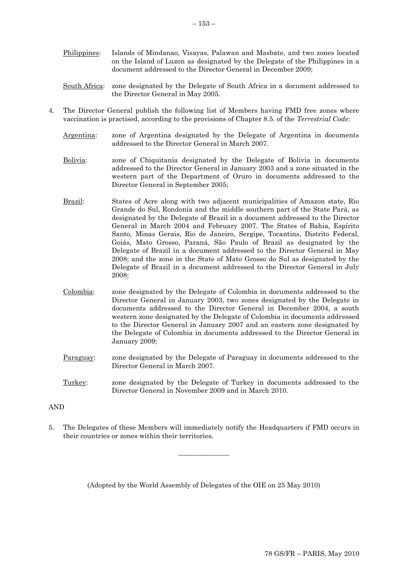- Philippines: Islands of Mindanao, Visayas, Palawan and Masbate, and two zones located on the Island of Luzon as designated by the Delegate of the Philippines in a document addressed to the Director General in December 2009;
- South Africa: zone designated by the Delegate of South Africa in a document addressed to the Director General in May 2005.
- 4. The Director General publish the following list of Members having FMD free zones where vaccination is practised, according to the provisions of Chapter 8.5. of the *Terrestrial Code*:
	- Argentina: zone of Argentina designated by the Delegate of Argentina in documents addressed to the Director General in March 2007.
	- Bolivia: zone of Chiquitania designated by the Delegate of Bolivia in documents addressed to the Director General in January 2003 and a zone situated in the western part of the Department of Oruro in documents addressed to the Director General in September 2005;
	- Brazil: States of Acre along with two adjacent municipalities of Amazon state, Rio Grande do Sul, Rondonia and the middle southern part of the State Parà, as designated by the Delegate of Brazil in a document addressed to the Director General in March 2004 and February 2007. The States of Bahia, Espírito Santo, Minas Gerais, Rio de Janeiro, Sergipe, Tocantins, Distrito Federal, Goiás, Mato Grosso, Paraná, São Paulo of Brazil as designated by the Delegate of Brazil in a document addressed to the Director General in May 2008; and the zone in the State of Mato Grosso do Sul as designated by the Delegate of Brazil in a document addressed to the Director General in July 2008;
	- Colombia: zone designated by the Delegate of Colombia in documents addressed to the Director General in January 2003, two zones designated by the Delegate in documents addressed to the Director General in December 2004, a south western zone designated by the Delegate of Colombia in documents addressed to the Director General in January 2007 and an eastern zone designated by the Delegate of Colombia in documents addressed to the Director General in January 2009;
	- Paraguay: zone designated by the Delegate of Paraguay in documents addressed to the Director General in March 2007.
	- Turkey: zone designated by the Delegate of Turkey in documents addressed to the Director General in November 2009 and in March 2010.

#### AND

5. The Delegates of these Members will immediately notify the Headquarters if FMD occurs in their countries or zones within their territories.

 $\overline{\phantom{a}}$  , where  $\overline{\phantom{a}}$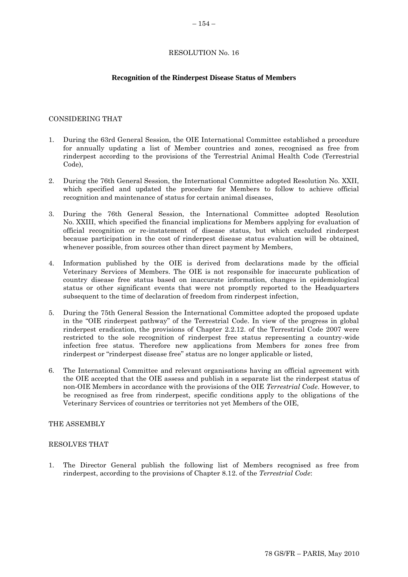#### **Recognition of the Rinderpest Disease Status of Members**

#### <span id="page-19-0"></span>CONSIDERING THAT

- 1. During the 63rd General Session, the OIE International Committee established a procedure for annually updating a list of Member countries and zones, recognised as free from rinderpest according to the provisions of the Terrestrial Animal Health Code (Terrestrial Code),
- 2. During the 76th General Session, the International Committee adopted Resolution No. XXII, which specified and updated the procedure for Members to follow to achieve official recognition and maintenance of status for certain animal diseases,
- 3. During the 76th General Session, the International Committee adopted Resolution No. XXIII, which specified the financial implications for Members applying for evaluation of official recognition or re-instatement of disease status, but which excluded rinderpest because participation in the cost of rinderpest disease status evaluation will be obtained, whenever possible, from sources other than direct payment by Members,
- 4. Information published by the OIE is derived from declarations made by the official Veterinary Services of Members. The OIE is not responsible for inaccurate publication of country disease free status based on inaccurate information, changes in epidemiological status or other significant events that were not promptly reported to the Headquarters subsequent to the time of declaration of freedom from rinderpest infection,
- 5. During the 75th General Session the International Committee adopted the proposed update in the "OIE rinderpest pathway" of the Terrestrial Code. In view of the progress in global rinderpest eradication, the provisions of Chapter 2.2.12. of the Terrestrial Code 2007 were restricted to the sole recognition of rinderpest free status representing a country-wide infection free status. Therefore new applications from Members for zones free from rinderpest or "rinderpest disease free" status are no longer applicable or listed,
- 6. The International Committee and relevant organisations having an official agreement with the OIE accepted that the OIE assess and publish in a separate list the rinderpest status of non-OIE Members in accordance with the provisions of the OIE *Terrestrial Code*. However, to be recognised as free from rinderpest, specific conditions apply to the obligations of the Veterinary Services of countries or territories not yet Members of the OIE,

### THE ASSEMBLY

#### RESOLVES THAT

1. The Director General publish the following list of Members recognised as free from rinderpest, according to the provisions of Chapter 8.12. of the *Terrestrial Code*: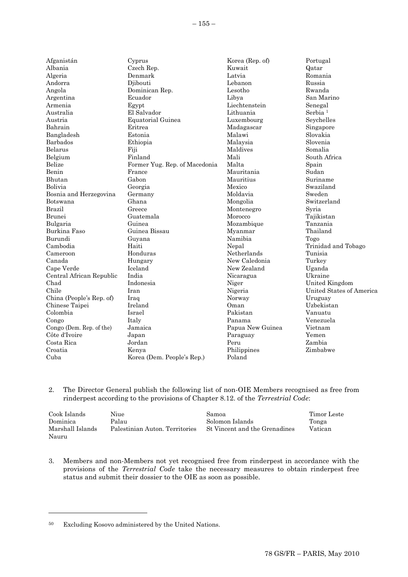| Afganistán               | Cyprus                        | Korea (Rep. of)  | Portugal                 |
|--------------------------|-------------------------------|------------------|--------------------------|
| Albania                  | Czech Rep.                    | Kuwait           | Qatar                    |
| Algeria                  | Denmark                       | Latvia           | Romania                  |
| Andorra                  | Djibouti                      | Lebanon          | Russia                   |
| Angola                   | Dominican Rep.                | Lesotho          | Rwanda                   |
| Argentina                | Ecuador                       | Libya            | San Marino               |
| Armenia                  | Egypt                         | Liechtenstein    | Senegal                  |
| Australia                | El Salvador                   | Lithuania        | Serbia <sup>1</sup>      |
| Austria                  | Equatorial Guinea             | Luxembourg       | Seychelles               |
| Bahrain                  | Eritrea                       | Madagascar       | Singapore                |
| Bangladesh               | Estonia                       | Malawi           | Slovakia                 |
| Barbados                 | Ethiopia                      | Malaysia         | Slovenia                 |
| Belarus                  | Fiji                          | Maldives         | Somalia                  |
| Belgium                  | Finland                       | Mali             | South Africa             |
| Belize                   | Former Yug. Rep. of Macedonia | Malta            | Spain                    |
| Benin                    | France                        | Mauritania       | Sudan                    |
| Bhutan                   | Gabon                         | Mauritius        | Suriname                 |
| Bolivia                  | Georgia                       | Mexico           | Swaziland                |
| Bosnia and Herzegovina   | Germany                       | Moldavia         | Sweden                   |
| Botswana                 | Ghana                         | Mongolia         | Switzerland              |
| <b>Brazil</b>            | Greece                        | Montenegro       | Syria                    |
| <b>Brunei</b>            | Guatemala                     | Morocco          | Tajikistan               |
| Bulgaria                 | Guinea                        | Mozambique       | Tanzania                 |
| Burkina Faso             | Guinea Bissau                 | Myanmar          | Thailand                 |
| Burundi                  | Guyana                        | Namibia          | Togo                     |
| Cambodia                 | Haiti                         | Nepal            | Trinidad and Tobago      |
| Cameroon                 | Honduras                      | Netherlands      | Tunisia                  |
| Canada                   | Hungary                       | New Caledonia    | Turkey                   |
| Cape Verde               | Iceland                       | New Zealand      | Uganda                   |
| Central African Republic | India                         | Nicaragua        | Ukraine                  |
| Chad                     | Indonesia                     | Niger            | United Kingdom           |
| Chile                    | Iran                          | Nigeria          | United States of America |
| China (People's Rep. of) | Iraq                          | Norway           | Uruguay                  |
| Chinese Taipei           | Ireland                       | Oman             | Uzbekistan               |
| Colombia                 | Israel                        | Pakistan         | Vanuatu                  |
| Congo                    | Italy                         | Panama           | Venezuela                |
| Congo (Dem. Rep. of the) | Jamaica                       | Papua New Guinea | Vietnam                  |
| Côte d'Ivoire            | Japan                         | Paraguay         | Yemen                    |
| Costa Rica               | Jordan                        | Peru             | Zambia                   |
| Croatia                  | Kenya                         | Philippines      | Zimbabwe                 |
| Cuba                     | Korea (Dem. People's Rep.)    | Poland           |                          |
|                          |                               |                  |                          |

2. The Director General publish the following list of non-OIE Members recognised as free from rinderpest according to the provisions of Chapter 8.12. of the *Terrestrial Code*:

| Cook Islands     | Niue                           | Samoa                         | Timor Leste |
|------------------|--------------------------------|-------------------------------|-------------|
| Dominica         | Palau                          | Solomon Islands               | Tonga       |
| Marshall Islands | Palestinian Auton. Territories | St Vincent and the Grenadines | Vatican     |
| Nauru            |                                |                               |             |

3. Members and non-Members not yet recognised free from rinderpest in accordance with the provisions of the *Terrestrial Code* take the necessary measures to obtain rinderpest free status and submit their dossier to the OIE as soon as possible.

l

<sup>50</sup> Excluding Kosovo administered by the United Nations.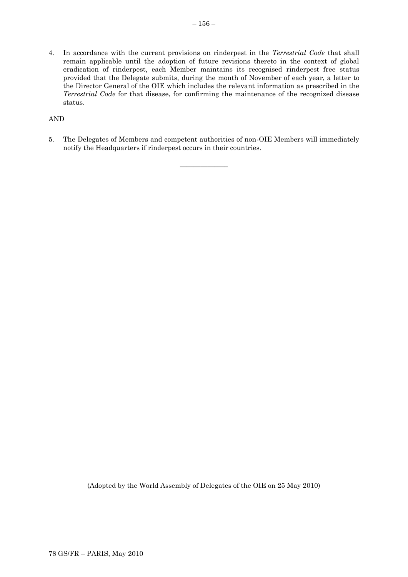4. In accordance with the current provisions on rinderpest in the *Terrestrial Code* that shall remain applicable until the adoption of future revisions thereto in the context of global eradication of rinderpest, each Member maintains its recognised rinderpest free status provided that the Delegate submits, during the month of November of each year, a letter to the Director General of the OIE which includes the relevant information as prescribed in the *Terrestrial Code* for that disease, for confirming the maintenance of the recognized disease status.

AND

5. The Delegates of Members and competent authorities of non-OIE Members will immediately notify the Headquarters if rinderpest occurs in their countries.

 $\overline{\phantom{a}}$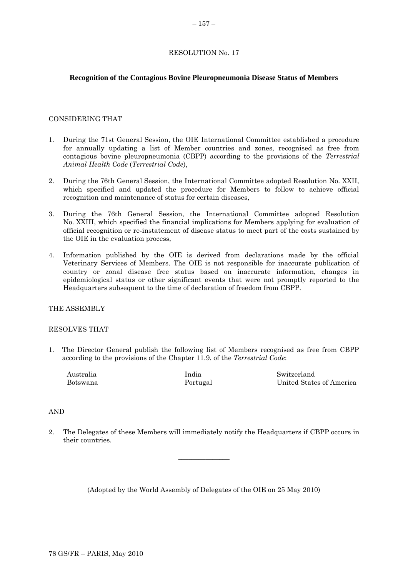## <span id="page-22-0"></span>**Recognition of the Contagious Bovine Pleuropneumonia Disease Status of Members**

## CONSIDERING THAT

- 1. During the 71st General Session, the OIE International Committee established a procedure for annually updating a list of Member countries and zones, recognised as free from contagious bovine pleuropneumonia (CBPP) according to the provisions of the *Terrestrial Animal Health Code* (*Terrestrial Code*),
- 2. During the 76th General Session, the International Committee adopted Resolution No. XXII, which specified and updated the procedure for Members to follow to achieve official recognition and maintenance of status for certain diseases,
- 3. During the 76th General Session, the International Committee adopted Resolution No. XXIII, which specified the financial implications for Members applying for evaluation of official recognition or re-instatement of disease status to meet part of the costs sustained by the OIE in the evaluation process,
- 4. Information published by the OIE is derived from declarations made by the official Veterinary Services of Members. The OIE is not responsible for inaccurate publication of country or zonal disease free status based on inaccurate information, changes in epidemiological status or other significant events that were not promptly reported to the Headquarters subsequent to the time of declaration of freedom from CBPP.

#### THE ASSEMBLY

#### RESOLVES THAT

1. The Director General publish the following list of Members recognised as free from CBPP according to the provisions of the Chapter 11.9. of the *Terrestrial Code*:

| Australia | India    | Switzerland              |
|-----------|----------|--------------------------|
| Botswana  | Portugal | United States of America |

#### AND

2. The Delegates of these Members will immediately notify the Headquarters if CBPP occurs in their countries.

 $\overline{\phantom{a}}$  , where  $\overline{\phantom{a}}$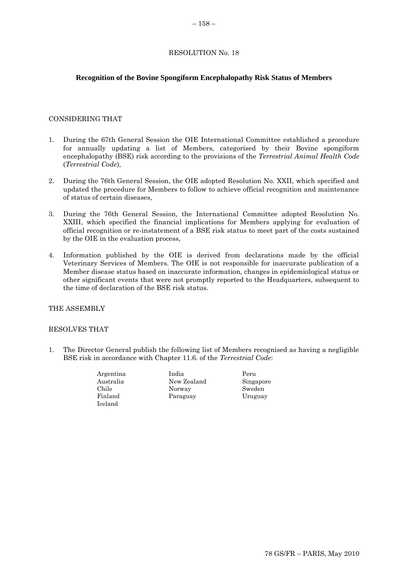# <span id="page-23-0"></span>**Recognition of the Bovine Spongiform Encephalopathy Risk Status of Members**

## CONSIDERING THAT

- 1. During the 67th General Session the OIE International Committee established a procedure for annually updating a list of Members, categorised by their Bovine spongiform encephalopathy (BSE) risk according to the provisions of the *Terrestrial Animal Health Code* (*Terrestrial Code*),
- 2. During the 76th General Session, the OIE adopted Resolution No. XXII, which specified and updated the procedure for Members to follow to achieve official recognition and maintenance of status of certain diseases,
- 3. During the 76th General Session, the International Committee adopted Resolution No. XXIII, which specified the financial implications for Members applying for evaluation of official recognition or re-instatement of a BSE risk status to meet part of the costs sustained by the OIE in the evaluation process,
- 4. Information published by the OIE is derived from declarations made by the official Veterinary Services of Members. The OIE is not responsible for inaccurate publication of a Member disease status based on inaccurate information, changes in epidemiological status or other significant events that were not promptly reported to the Headquarters, subsequent to the time of declaration of the BSE risk status.

## THE ASSEMBLY

#### RESOLVES THAT

1. The Director General publish the following list of Members recognised as having a negligible BSE risk in accordance with Chapter 11.6. of the *Terrestrial Code*:

| Argentina | India       | Peru      |
|-----------|-------------|-----------|
| Australia | New Zealand | Singapore |
| Chile     | Norway      | Sweden    |
| Finland   | Paraguay    | Uruguay   |
| Iceland   |             |           |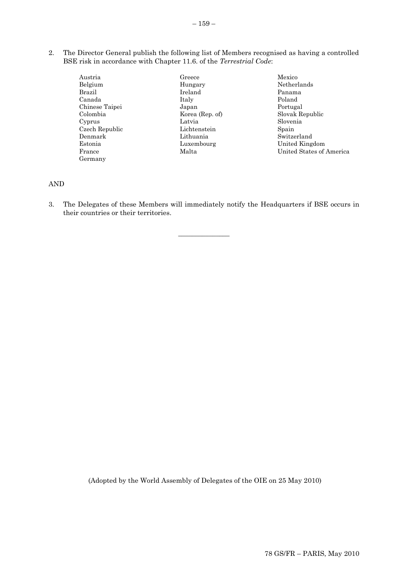2. The Director General publish the following list of Members recognised as having a controlled BSE risk in accordance with Chapter 11.6. of the *Terrestrial Code*:

| Austria        | Greece          |
|----------------|-----------------|
| Belgium        | Hungary         |
| Brazil         | Ireland         |
| Canada         | Italy           |
| Chinese Taipei | Japan           |
| Colombia       | Korea (Rep. of) |
| Cyprus         | Latvia          |
| Czech Republic | Lichtenstein    |
| Denmark        | Lithuania       |
| Estonia        | Luxembourg      |
| France         | Malta           |
| Germany        |                 |

Mexico Netherlands Panama Poland Portugal Slovak Republic Slovenia Spain Switzerland United Kingdom United States of America

# AND

3. The Delegates of these Members will immediately notify the Headquarters if BSE occurs in their countries or their territories.

 $\overline{\phantom{a}}$  , where  $\overline{\phantom{a}}$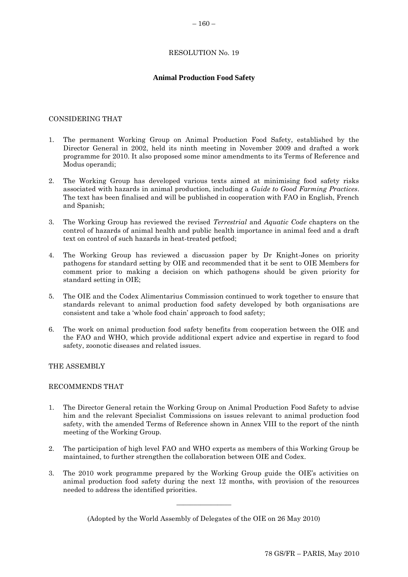# **Animal Production Food Safety**

## <span id="page-25-0"></span>CONSIDERING THAT

- 1. The permanent Working Group on Animal Production Food Safety, established by the Director General in 2002, held its ninth meeting in November 2009 and drafted a work programme for 2010. It also proposed some minor amendments to its Terms of Reference and Modus operandi;
- 2. The Working Group has developed various texts aimed at minimising food safety risks associated with hazards in animal production, including a *Guide to Good Farming Practices*. The text has been finalised and will be published in cooperation with FAO in English, French and Spanish;
- 3. The Working Group has reviewed the revised *Terrestrial* and *Aquatic Code* chapters on the control of hazards of animal health and public health importance in animal feed and a draft text on control of such hazards in heat-treated petfood;
- 4. The Working Group has reviewed a discussion paper by Dr Knight-Jones on priority pathogens for standard setting by OIE and recommended that it be sent to OIE Members for comment prior to making a decision on which pathogens should be given priority for standard setting in OIE;
- 5. The OIE and the Codex Alimentarius Commission continued to work together to ensure that standards relevant to animal production food safety developed by both organisations are consistent and take a "whole food chain" approach to food safety;
- 6. The work on animal production food safety benefits from cooperation between the OIE and the FAO and WHO, which provide additional expert advice and expertise in regard to food safety, zoonotic diseases and related issues.

THE ASSEMBLY

## RECOMMENDS THAT

- 1. The Director General retain the Working Group on Animal Production Food Safety to advise him and the relevant Specialist Commissions on issues relevant to animal production food safety, with the amended Terms of Reference shown in Annex VIII to the report of the ninth meeting of the Working Group.
- 2. The participation of high level FAO and WHO experts as members of this Working Group be maintained, to further strengthen the collaboration between OIE and Codex.
- 3. The 2010 work programme prepared by the Working Group guide the OIE"s activities on animal production food safety during the next 12 months, with provision of the resources needed to address the identified priorities.

(Adopted by the World Assembly of Delegates of the OIE on 26 May 2010)

 $\overline{\phantom{a}}$  , where  $\overline{\phantom{a}}$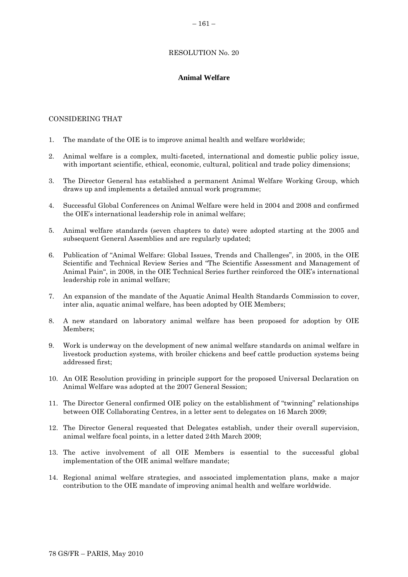## **Animal Welfare**

#### <span id="page-26-0"></span>CONSIDERING THAT

- 1. The mandate of the OIE is to improve animal health and welfare worldwide;
- 2. Animal welfare is a complex, multi-faceted, international and domestic public policy issue, with important scientific, ethical, economic, cultural, political and trade policy dimensions;
- 3. The Director General has established a permanent Animal Welfare Working Group, which draws up and implements a detailed annual work programme;
- 4. Successful Global Conferences on Animal Welfare were held in 2004 and 2008 and confirmed the OIE"s international leadership role in animal welfare;
- 5. Animal welfare standards (seven chapters to date) were adopted starting at the 2005 and subsequent General Assemblies and are regularly updated;
- 6. Publication of "Animal Welfare: Global Issues, Trends and Challenges", in 2005, in the OIE Scientific and Technical Review Series and "The Scientific Assessment and Management of Animal Pain", in 2008, in the OIE Technical Series further reinforced the OIE"s international leadership role in animal welfare;
- 7. An expansion of the mandate of the Aquatic Animal Health Standards Commission to cover, inter alia, aquatic animal welfare, has been adopted by OIE Members;
- 8. A new standard on laboratory animal welfare has been proposed for adoption by OIE Members;
- 9. Work is underway on the development of new animal welfare standards on animal welfare in livestock production systems, with broiler chickens and beef cattle production systems being addressed first;
- 10. An OIE Resolution providing in principle support for the proposed Universal Declaration on Animal Welfare was adopted at the 2007 General Session;
- 11. The Director General confirmed OIE policy on the establishment of "twinning" relationships between OIE Collaborating Centres, in a letter sent to delegates on 16 March 2009;
- 12. The Director General requested that Delegates establish, under their overall supervision, animal welfare focal points, in a letter dated 24th March 2009;
- 13. The active involvement of all OIE Members is essential to the successful global implementation of the OIE animal welfare mandate;
- 14. Regional animal welfare strategies, and associated implementation plans, make a major contribution to the OIE mandate of improving animal health and welfare worldwide.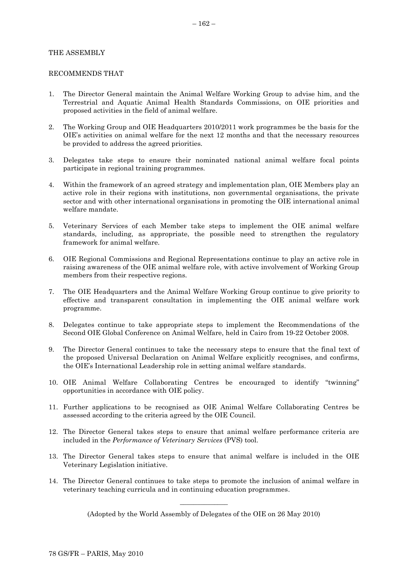#### THE ASSEMBLY

#### RECOMMENDS THAT

- 1. The Director General maintain the Animal Welfare Working Group to advise him, and the Terrestrial and Aquatic Animal Health Standards Commissions, on OIE priorities and proposed activities in the field of animal welfare.
- 2. The Working Group and OIE Headquarters 2010/2011 work programmes be the basis for the OIE"s activities on animal welfare for the next 12 months and that the necessary resources be provided to address the agreed priorities.
- 3. Delegates take steps to ensure their nominated national animal welfare focal points participate in regional training programmes.
- 4. Within the framework of an agreed strategy and implementation plan, OIE Members play an active role in their regions with institutions, non governmental organisations, the private sector and with other international organisations in promoting the OIE international animal welfare mandate.
- 5. Veterinary Services of each Member take steps to implement the OIE animal welfare standards, including, as appropriate, the possible need to strengthen the regulatory framework for animal welfare.
- 6. OIE Regional Commissions and Regional Representations continue to play an active role in raising awareness of the OIE animal welfare role, with active involvement of Working Group members from their respective regions.
- 7. The OIE Headquarters and the Animal Welfare Working Group continue to give priority to effective and transparent consultation in implementing the OIE animal welfare work programme.
- 8. Delegates continue to take appropriate steps to implement the Recommendations of the Second OIE Global Conference on Animal Welfare, held in Cairo from 19-22 October 2008.
- 9. The Director General continues to take the necessary steps to ensure that the final text of the proposed Universal Declaration on Animal Welfare explicitly recognises, and confirms, the OIE"s International Leadership role in setting animal welfare standards.
- 10. OIE Animal Welfare Collaborating Centres be encouraged to identify "twinning" opportunities in accordance with OIE policy.
- 11. Further applications to be recognised as OIE Animal Welfare Collaborating Centres be assessed according to the criteria agreed by the OIE Council.
- 12. The Director General takes steps to ensure that animal welfare performance criteria are included in the *Performance of Veterinary Services* (PVS) tool.
- 13. The Director General takes steps to ensure that animal welfare is included in the OIE Veterinary Legislation initiative.
- 14. The Director General continues to take steps to promote the inclusion of animal welfare in veterinary teaching curricula and in continuing education programmes.

 $\overline{\phantom{a}}$  , where  $\overline{\phantom{a}}$ (Adopted by the World Assembly of Delegates of the OIE on 26 May 2010)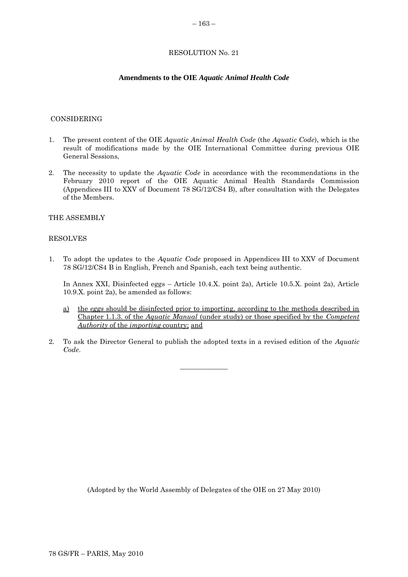#### **Amendments to the OIE** *Aquatic Animal Health Code*

#### <span id="page-28-0"></span>CONSIDERING

- 1. The present content of the OIE *Aquatic Animal Health Code* (the *Aquatic Code*), which is the result of modifications made by the OIE International Committee during previous OIE General Sessions,
- 2. The necessity to update the *Aquatic Code* in accordance with the recommendations in the February 2010 report of the OIE Aquatic Animal Health Standards Commission (Appendices III to XXV of Document 78 SG/12/CS4 B), after consultation with the Delegates of the Members.

#### THE ASSEMBLY

#### RESOLVES

1. To adopt the updates to the *Aquatic Code* proposed in Appendices III to XXV of Document 78 SG/12/CS4 B in English, French and Spanish, each text being authentic.

In Annex XXI, Disinfected eggs – Article 10.4.X. point 2a), Article 10.5.X. point 2a), Article 10.9.X. point 2a), be amended as follows:

- a) the *eggs* should be disinfected prior to importing, according to the methods described in Chapter 1.1.3. of the *Aquatic Manual* (under study) or those specified by the *[Competent](http://www.oie.int/eng/normes/fcode/en_glossaire.htm#terme_autorite_competente)  [Authority](http://www.oie.int/eng/normes/fcode/en_glossaire.htm#terme_autorite_competente)* of the *[importing](http://www.oie.int/eng/normes/fcode/en_glossaire.htm#terme_pays_importateur)* country; and
- 2. To ask the Director General to publish the adopted texts in a revised edition of the *Aquatic Code*.

 $\overline{\phantom{a}}$  , where  $\overline{\phantom{a}}$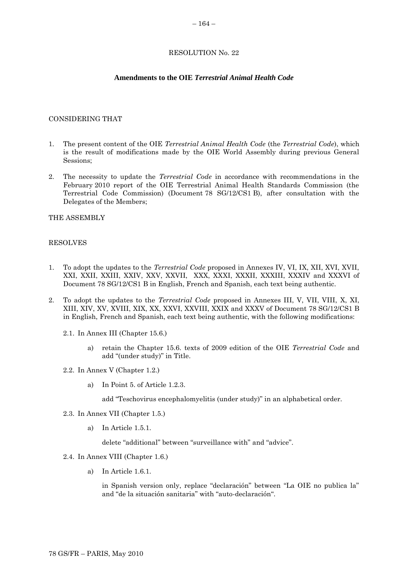#### **Amendments to the OIE** *Terrestrial Animal Health Code*

#### <span id="page-29-0"></span>CONSIDERING THAT

- 1. The present content of the OIE *Terrestrial Animal Health Code* (the *Terrestrial Code*), which is the result of modifications made by the OIE World Assembly during previous General Sessions;
- 2. The necessity to update the *Terrestrial Code* in accordance with recommendations in the February 2010 report of the OIE Terrestrial Animal Health Standards Commission (the Terrestrial Code Commission) (Document 78 SG/12/CS1 B), after consultation with the Delegates of the Members;

THE ASSEMBLY

#### RESOLVES

- 1. To adopt the updates to the *Terrestrial Code* proposed in Annexes IV, VI, IX, XII, XVI, XVII, XXI, XXII, XXIII, XXIV, XXV, XXVII, XXX, XXXI, XXXII, XXXIII, XXXIV and XXXVI of Document 78 SG/12/CS1 B in English, French and Spanish, each text being authentic.
- 2. To adopt the updates to the *Terrestrial Code* proposed in Annexes III, V, VII, VIII, X, XI, XIII, XIV, XV, XVIII, XIX, XX, XXVI, XXVIII, XXIX and XXXV of Document 78 SG/12/CS1 B in English, French and Spanish, each text being authentic, with the following modifications:
	- 2.1. In Annex III (Chapter 15.6.)
		- a) retain the Chapter 15.6. texts of 2009 edition of the OIE *Terrestrial Code* and add "(under study)" in Title.
	- 2.2. In Annex V (Chapter 1.2.)
		- a) In Point 5. of Article 1.2.3.

add "Teschovirus encephalomyelitis (under study)" in an alphabetical order.

- 2.3. In Annex VII (Chapter 1.5.)
	- a) In Article 1.5.1.

delete "additional" between "surveillance with" and "advice".

#### 2.4. In Annex VIII (Chapter 1.6.)

a) In Article 1.6.1.

in Spanish version only, replace "declaración" between "La OIE no publica la" and "de la situación sanitaria" with "auto-declaración".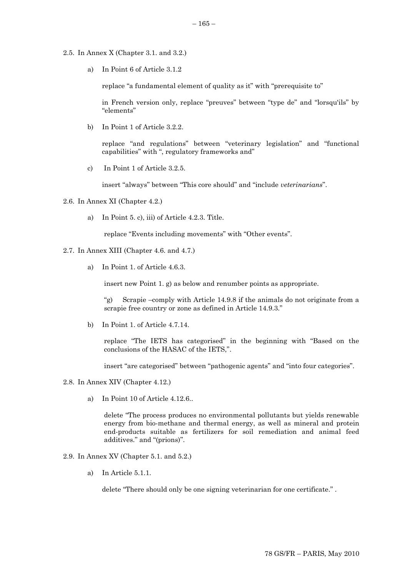- 2.5. In Annex X (Chapter 3.1. and 3.2.)
	- a) In Point 6 of Article 3.1.2

replace "a fundamental element of quality as it" with "prerequisite to"

in French version only, replace "preuves" between "type de" and "lorsqu'ils" by "elements"

b) In Point 1 of Article 3.2.2.

replace "and regulations" between "veterinary legislation" and "functional capabilities" with ", regulatory frameworks and"

c) In Point 1 of Article 3.2.5.

insert "always" between "This core should" and "include *veterinarians*".

#### 2.6. In Annex XI (Chapter 4.2.)

a) In Point 5. c), iii) of Article 4.2.3. Title.

replace "Events including movements" with "Other events".

- 2.7. In Annex XIII (Chapter 4.6. and 4.7.)
	- a) In Point 1. of Article 4.6.3.

insert new Point 1. g) as below and renumber points as appropriate.

"g) Scrapie –comply with Article 14.9.8 if the animals do not originate from a scrapie free country or zone as defined in Article 14.9.3."

b) In Point 1. of Article 4.7.14.

replace "The IETS has categorised" in the beginning with "Based on the conclusions of the HASAC of the IETS,".

insert "are categorised" between "pathogenic agents" and "into four categories".

- 2.8. In Annex XIV (Chapter 4.12.)
	- a) In Point 10 of Article 4.12.6..

delete "The process produces no environmental pollutants but yields renewable energy from bio-methane and thermal energy, as well as mineral and protein end-products suitable as fertilizers for soil remediation and animal feed additives." and "(prions)".

## 2.9. In Annex XV (Chapter 5.1. and 5.2.)

a) In Article 5.1.1.

delete "There should only be one signing veterinarian for one certificate." .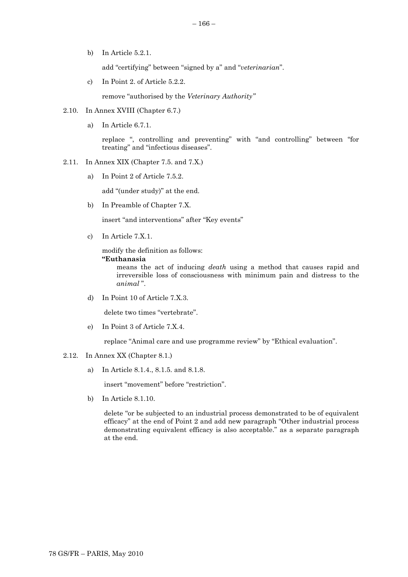add "certifying" between "signed by a" and "*veterinarian*".

c) In Point 2. of Article 5.2.2.

remove "authorised by the *Veterinary Authority"*

## 2.10. In Annex XVIII (Chapter 6.7.)

a) In Article 6.7.1.

b) In Article 5.2.1.

replace ", controlling and preventing" with "and controlling" between "for treating" and "infectious diseases".

- 2.11. In Annex XIX (Chapter 7.5. and 7.X.)
	- a) In Point 2 of Article 7.5.2.

add "(under study)" at the end.

b) In Preamble of Chapter 7.X.

insert "and interventions" after "Key events"

c) In Article 7.X.1.

modify the definition as follows:

## **"Euthanasia**

means the act of inducing *death* using a method that causes rapid and irreversible loss of consciousness with minimum pain and distress to the *animal* ".

d) In Point 10 of Article 7.X.3.

delete two times "vertebrate".

e) In Point 3 of Article 7.X.4.

replace "Animal care and use programme review" by "Ethical evaluation".

- 2.12. In Annex XX (Chapter 8.1.)
	- a) In Article 8.1.4., 8.1.5. and 8.1.8.

insert "movement" before "restriction".

b) In Article 8.1.10.

delete "or be subjected to an industrial process demonstrated to be of equivalent efficacy" at the end of Point 2 and add new paragraph "Other industrial process demonstrating equivalent efficacy is also acceptable." as a separate paragraph at the end.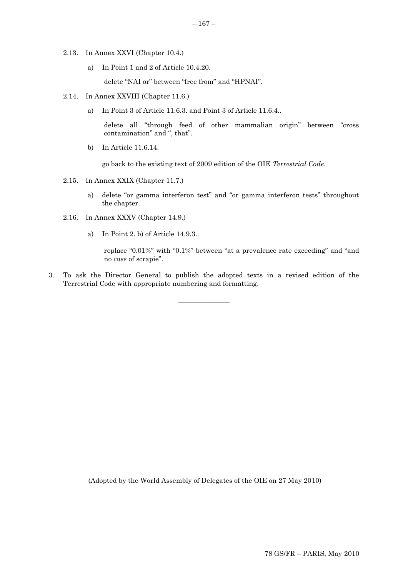- 2.13. In Annex XXVI (Chapter 10.4.)
	- a) In Point 1 and 2 of Article 10.4.20.

delete "NAI or" between "free from" and "HPNAI".

- 2.14. In Annex XXVIII (Chapter 11.6.)
	- a) In Point 3 of Article 11.6.3. and Point 3 of Article 11.6.4..

delete all "through feed of other mammalian origin" between "cross contamination" and ", that".

b) In Article 11.6.14.

go back to the existing text of 2009 edition of the OIE *Terrestrial Code*.

- 2.15. In Annex XXIX (Chapter 11.7.)
	- a) delete "or gamma interferon test" and "or gamma interferon tests" throughout the chapter.
- 2.16. In Annex XXXV (Chapter 14.9.)
	- a) In Point 2. b) of Article 14.9.3..

replace "0.01%" with "0.1%" between "at a prevalence rate exceeding" and "and no *case* of scrapie".

3. To ask the Director General to publish the adopted texts in a revised edition of the Terrestrial Code with appropriate numbering and formatting.

\_\_\_\_\_\_\_\_\_\_\_\_\_\_\_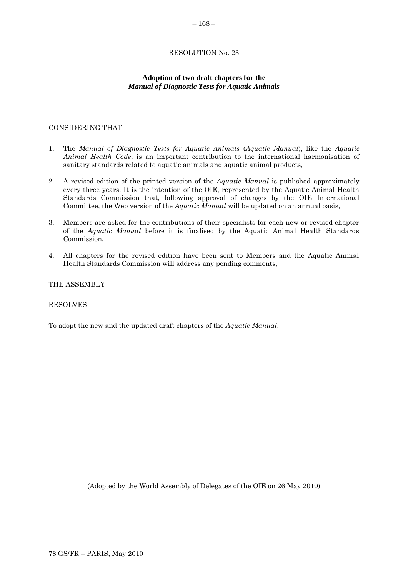# **Adoption of two draft chapters for the**  *Manual of Diagnostic Tests for Aquatic Animals*

## <span id="page-33-0"></span>CONSIDERING THAT

- 1. The *Manual of Diagnostic Tests for Aquatic Animals* (*Aquatic Manual*), like the *Aquatic Animal Health Code*, is an important contribution to the international harmonisation of sanitary standards related to aquatic animals and aquatic animal products,
- 2. A revised edition of the printed version of the *Aquatic Manual* is published approximately every three years. It is the intention of the OIE, represented by the Aquatic Animal Health Standards Commission that, following approval of changes by the OIE International Committee, the Web version of the *Aquatic Manual* will be updated on an annual basis,
- 3. Members are asked for the contributions of their specialists for each new or revised chapter of the *Aquatic Manual* before it is finalised by the Aquatic Animal Health Standards Commission,
- 4. All chapters for the revised edition have been sent to Members and the Aquatic Animal Health Standards Commission will address any pending comments,

\_\_\_\_\_\_\_\_\_\_\_\_\_\_

THE ASSEMBLY

RESOLVES

To adopt the new and the updated draft chapters of the *Aquatic Manual*.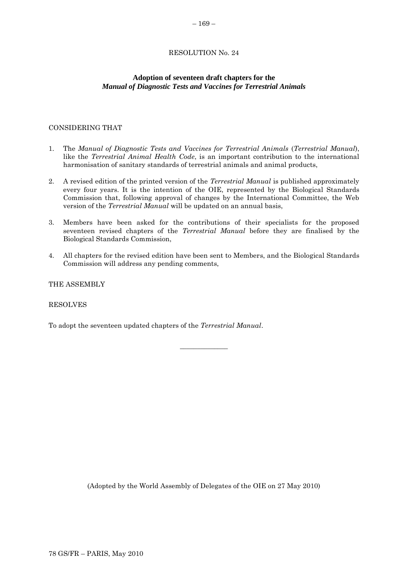# <span id="page-34-0"></span>**Adoption of seventeen draft chapters for the**  *Manual of Diagnostic Tests and Vaccines for Terrestrial Animals*

# CONSIDERING THAT

- 1. The *Manual of Diagnostic Tests and Vaccines for Terrestrial Animals* (*Terrestrial Manual*), like the *Terrestrial Animal Health Code*, is an important contribution to the international harmonisation of sanitary standards of terrestrial animals and animal products,
- 2. A revised edition of the printed version of the *Terrestrial Manual* is published approximately every four years. It is the intention of the OIE, represented by the Biological Standards Commission that, following approval of changes by the International Committee, the Web version of the *Terrestrial Manual* will be updated on an annual basis,
- 3. Members have been asked for the contributions of their specialists for the proposed seventeen revised chapters of the *Terrestrial Manual* before they are finalised by the Biological Standards Commission,
- 4. All chapters for the revised edition have been sent to Members, and the Biological Standards Commission will address any pending comments,

\_\_\_\_\_\_\_\_\_\_\_\_\_\_

THE ASSEMBLY

## RESOLVES

To adopt the seventeen updated chapters of the *Terrestrial Manual*.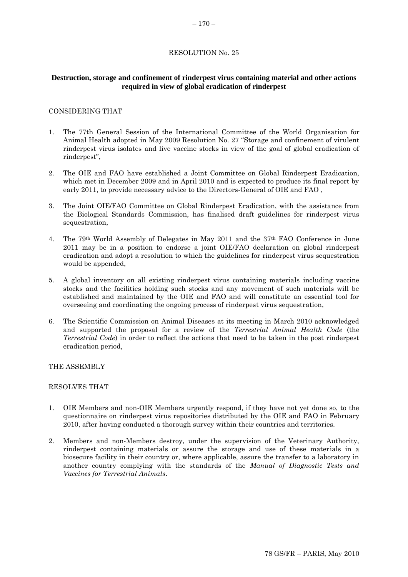# <span id="page-35-0"></span>**Destruction, storage and confinement of rinderpest virus containing material and other actions required in view of global eradication of rinderpest**

#### CONSIDERING THAT

- 1. The 77th General Session of the International Committee of the World Organisation for Animal Health adopted in May 2009 Resolution No. 27 "Storage and confinement of virulent rinderpest virus isolates and live vaccine stocks in view of the goal of global eradication of rinderpest",
- 2. The OIE and FAO have established a Joint Committee on Global Rinderpest Eradication, which met in December 2009 and in April 2010 and is expected to produce its final report by early 2011, to provide necessary advice to the Directors-General of OIE and FAO ,
- 3. The Joint OIE/FAO Committee on Global Rinderpest Eradication, with the assistance from the Biological Standards Commission, has finalised draft guidelines for rinderpest virus sequestration,
- 4. The 79th World Assembly of Delegates in May 2011 and the 37th FAO Conference in June 2011 may be in a position to endorse a joint OIE/FAO declaration on global rinderpest eradication and adopt a resolution to which the guidelines for rinderpest virus sequestration would be appended,
- 5. A global inventory on all existing rinderpest virus containing materials including vaccine stocks and the facilities holding such stocks and any movement of such materials will be established and maintained by the OIE and FAO and will constitute an essential tool for overseeing and coordinating the ongoing process of rinderpest virus sequestration,
- 6. The Scientific Commission on Animal Diseases at its meeting in March 2010 acknowledged and supported the proposal for a review of the *Terrestrial Animal Health Code* (the *Terrestrial Code*) in order to reflect the actions that need to be taken in the post rinderpest eradication period,

THE ASSEMBLY

#### RESOLVES THAT

- 1. OIE Members and non-OIE Members urgently respond, if they have not yet done so, to the questionnaire on rinderpest virus repositories distributed by the OIE and FAO in February 2010, after having conducted a thorough survey within their countries and territories.
- 2. Members and non-Members destroy, under the supervision of the Veterinary Authority, rinderpest containing materials or assure the storage and use of these materials in a biosecure facility in their country or, where applicable, assure the transfer to a laboratory in another country complying with the standards of the *Manual of Diagnostic Tests and Vaccines for Terrestrial Animals*.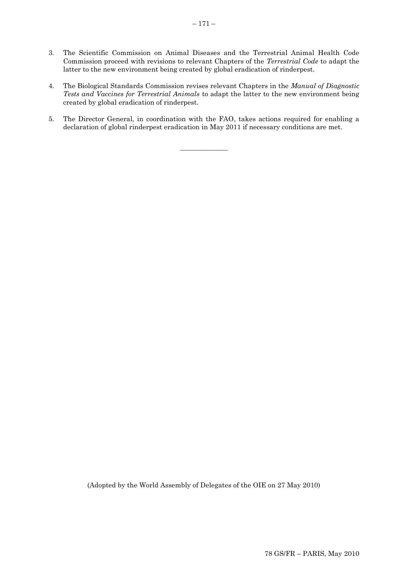- 3. The Scientific Commission on Animal Diseases and the Terrestrial Animal Health Code Commission proceed with revisions to relevant Chapters of the *Terrestrial Code* to adapt the latter to the new environment being created by global eradication of rinderpest.
- 4. The Biological Standards Commission revises relevant Chapters in the *Manual of Diagnostic Tests and Vaccines for Terrestrial Animals* to adapt the latter to the new environment being created by global eradication of rinderpest.
- 5. The Director General, in coordination with the FAO, takes actions required for enabling a declaration of global rinderpest eradication in May 2011 if necessary conditions are met.

 $\overline{\phantom{a}}$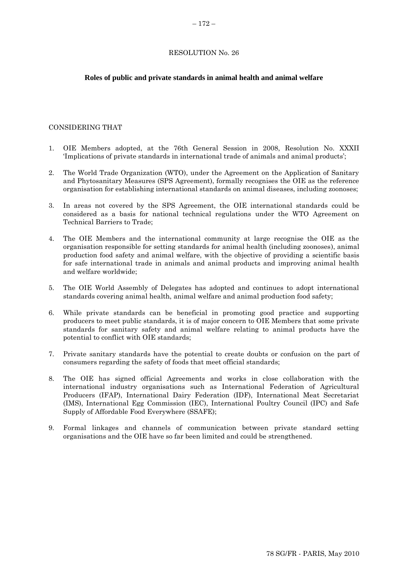#### <span id="page-37-0"></span>**Roles of public and private standards in animal health and animal welfare**

#### CONSIDERING THAT

- 1. OIE Members adopted, at the 76th General Session in 2008, Resolution No. XXXII "Implications of private standards in international trade of animals and animal products";
- 2. The World Trade Organization (WTO), under the Agreement on the Application of Sanitary and Phytosanitary Measures (SPS Agreement), formally recognises the OIE as the reference organisation for establishing international standards on animal diseases, including zoonoses;
- 3. In areas not covered by the SPS Agreement, the OIE international standards could be considered as a basis for national technical regulations under the WTO Agreement on Technical Barriers to Trade;
- 4. The OIE Members and the international community at large recognise the OIE as the organisation responsible for setting standards for animal health (including zoonoses), animal production food safety and animal welfare, with the objective of providing a scientific basis for safe international trade in animals and animal products and improving animal health and welfare worldwide;
- 5. The OIE World Assembly of Delegates has adopted and continues to adopt international standards covering animal health, animal welfare and animal production food safety;
- 6. While private standards can be beneficial in promoting good practice and supporting producers to meet public standards, it is of major concern to OIE Members that some private standards for sanitary safety and animal welfare relating to animal products have the potential to conflict with OIE standards;
- 7. Private sanitary standards have the potential to create doubts or confusion on the part of consumers regarding the safety of foods that meet official standards;
- 8. The OIE has signed official Agreements and works in close collaboration with the international industry organisations such as International Federation of Agricultural Producers (IFAP), International Dairy Federation (IDF), International Meat Secretariat (IMS), International Egg Commission (IEC), International Poultry Council (IPC) and Safe Supply of Affordable Food Everywhere (SSAFE);
- 9. Formal linkages and channels of communication between private standard setting organisations and the OIE have so far been limited and could be strengthened.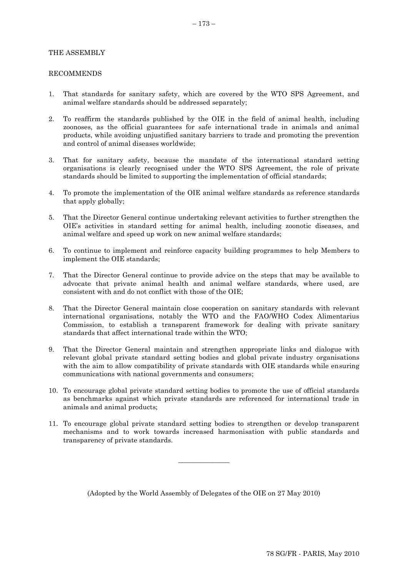#### THE ASSEMBLY

#### RECOMMENDS

- 1. That standards for sanitary safety, which are covered by the WTO SPS Agreement, and animal welfare standards should be addressed separately;
- 2. To reaffirm the standards published by the OIE in the field of animal health, including zoonoses, as the official guarantees for safe international trade in animals and animal products, while avoiding unjustified sanitary barriers to trade and promoting the prevention and control of animal diseases worldwide;
- 3. That for sanitary safety, because the mandate of the international standard setting organisations is clearly recognised under the WTO SPS Agreement, the role of private standards should be limited to supporting the implementation of official standards;
- 4. To promote the implementation of the OIE animal welfare standards as reference standards that apply globally;
- 5. That the Director General continue undertaking relevant activities to further strengthen the OIE"s activities in standard setting for animal health, including zoonotic diseases, and animal welfare and speed up work on new animal welfare standards;
- 6. To continue to implement and reinforce capacity building programmes to help Members to implement the OIE standards;
- 7. That the Director General continue to provide advice on the steps that may be available to advocate that private animal health and animal welfare standards, where used, are consistent with and do not conflict with those of the OIE;
- 8. That the Director General maintain close cooperation on sanitary standards with relevant international organisations, notably the WTO and the FAO/WHO Codex Alimentarius Commission, to establish a transparent framework for dealing with private sanitary standards that affect international trade within the WTO;
- 9. That the Director General maintain and strengthen appropriate links and dialogue with relevant global private standard setting bodies and global private industry organisations with the aim to allow compatibility of private standards with OIE standards while ensuring communications with national governments and consumers;
- 10. To encourage global private standard setting bodies to promote the use of official standards as benchmarks against which private standards are referenced for international trade in animals and animal products;
- 11. To encourage global private standard setting bodies to strengthen or develop transparent mechanisms and to work towards increased harmonisation with public standards and transparency of private standards.

(Adopted by the World Assembly of Delegates of the OIE on 27 May 2010)

\_\_\_\_\_\_\_\_\_\_\_\_\_\_\_